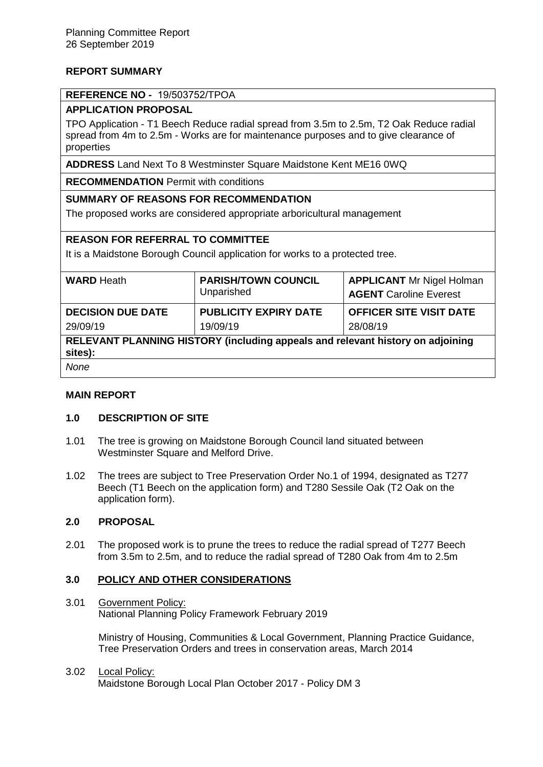# **REPORT SUMMARY**

## **REFERENCE NO -** 19/503752/TPOA

# **APPLICATION PROPOSAL**

TPO Application - T1 Beech Reduce radial spread from 3.5m to 2.5m, T2 Oak Reduce radial spread from 4m to 2.5m - Works are for maintenance purposes and to give clearance of properties

**ADDRESS** Land Next To 8 Westminster Square Maidstone Kent ME16 0WQ

**RECOMMENDATION** Permit with conditions

## **SUMMARY OF REASONS FOR RECOMMENDATION**

The proposed works are considered appropriate arboricultural management

## **REASON FOR REFERRAL TO COMMITTEE**

It is a Maidstone Borough Council application for works to a protected tree.

| <b>WARD Heath</b>                                                                         | <b>PARISH/TOWN COUNCIL</b><br>Unparished | <b>APPLICANT Mr Nigel Holman</b><br><b>AGENT</b> Caroline Everest |
|-------------------------------------------------------------------------------------------|------------------------------------------|-------------------------------------------------------------------|
| <b>DECISION DUE DATE</b>                                                                  | <b>PUBLICITY EXPIRY DATE</b>             | <b>OFFICER SITE VISIT DATE</b>                                    |
| 29/09/19                                                                                  | 19/09/19                                 | 28/08/19                                                          |
| RELEVANT PLANNING HISTORY (including appeals and relevant history on adjoining<br>sites): |                                          |                                                                   |
| None                                                                                      |                                          |                                                                   |

## **MAIN REPORT**

## **1.0 DESCRIPTION OF SITE**

- 1.01 The tree is growing on Maidstone Borough Council land situated between Westminster Square and Melford Drive.
- 1.02 The trees are subject to Tree Preservation Order No.1 of 1994, designated as T277 Beech (T1 Beech on the application form) and T280 Sessile Oak (T2 Oak on the application form).

## **2.0 PROPOSAL**

2.01 The proposed work is to prune the trees to reduce the radial spread of T277 Beech from 3.5m to 2.5m, and to reduce the radial spread of T280 Oak from 4m to 2.5m

## **3.0 POLICY AND OTHER CONSIDERATIONS**

3.01 Government Policy: National Planning Policy Framework February 2019

> Ministry of Housing, Communities & Local Government, Planning Practice Guidance, Tree Preservation Orders and trees in conservation areas, March 2014

#### 3.02 Local Policy: Maidstone Borough Local Plan October 2017 - Policy DM 3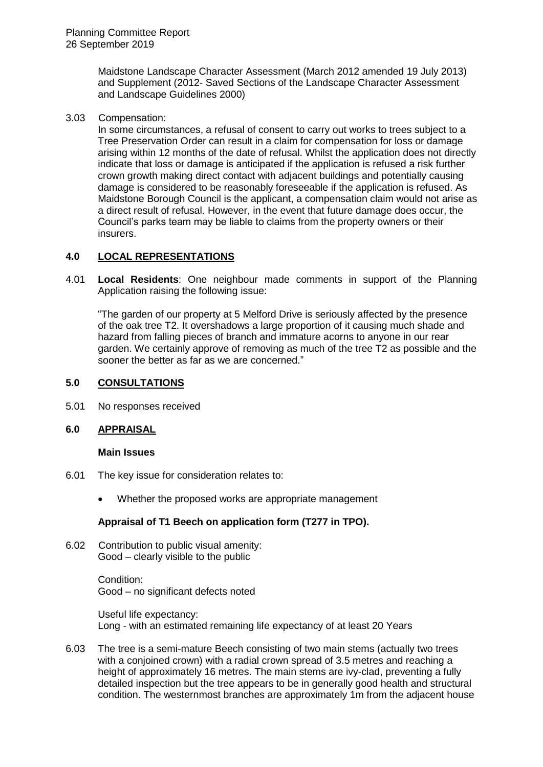Maidstone Landscape Character Assessment (March 2012 amended 19 July 2013) and Supplement (2012- Saved Sections of the Landscape Character Assessment and Landscape Guidelines 2000)

3.03 Compensation:

In some circumstances, a refusal of consent to carry out works to trees subject to a Tree Preservation Order can result in a claim for compensation for loss or damage arising within 12 months of the date of refusal. Whilst the application does not directly indicate that loss or damage is anticipated if the application is refused a risk further crown growth making direct contact with adjacent buildings and potentially causing damage is considered to be reasonably foreseeable if the application is refused. As Maidstone Borough Council is the applicant, a compensation claim would not arise as a direct result of refusal. However, in the event that future damage does occur, the Council's parks team may be liable to claims from the property owners or their insurers.

## **4.0 LOCAL REPRESENTATIONS**

4.01 **Local Residents**: One neighbour made comments in support of the Planning Application raising the following issue:

"The garden of our property at 5 Melford Drive is seriously affected by the presence of the oak tree T2. It overshadows a large proportion of it causing much shade and hazard from falling pieces of branch and immature acorns to anyone in our rear garden. We certainly approve of removing as much of the tree T2 as possible and the sooner the better as far as we are concerned."

## **5.0 CONSULTATIONS**

5.01 No responses received

## **6.0 APPRAISAL**

#### **Main Issues**

- 6.01 The key issue for consideration relates to:
	- Whether the proposed works are appropriate management

## **Appraisal of T1 Beech on application form (T277 in TPO).**

6.02 Contribution to public visual amenity: Good – clearly visible to the public

> Condition: Good – no significant defects noted

Useful life expectancy: Long - with an estimated remaining life expectancy of at least 20 Years

6.03 The tree is a semi-mature Beech consisting of two main stems (actually two trees with a conjoined crown) with a radial crown spread of 3.5 metres and reaching a height of approximately 16 metres. The main stems are ivy-clad, preventing a fully detailed inspection but the tree appears to be in generally good health and structural condition. The westernmost branches are approximately 1m from the adjacent house